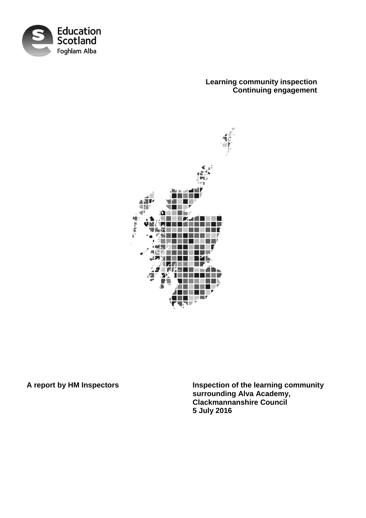

# **Learning community inspection Continuing engagement**



**A report by HM Inspectors Inspection of the learning community surrounding Alva Academy, Clackmannanshire Council 5 July 2016**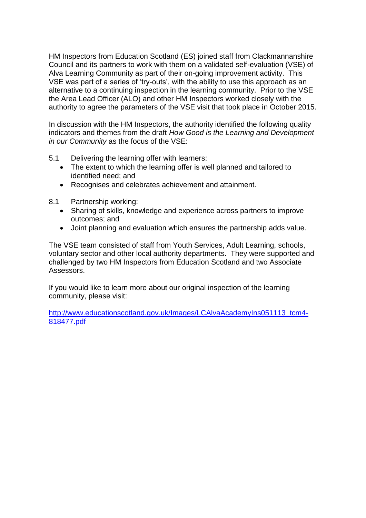HM Inspectors from Education Scotland (ES) joined staff from Clackmannanshire Council and its partners to work with them on a validated self-evaluation (VSE) of Alva Learning Community as part of their on-going improvement activity. This VSE was part of a series of 'try-outs', with the ability to use this approach as an alternative to a continuing inspection in the learning community. Prior to the VSE the Area Lead Officer (ALO) and other HM Inspectors worked closely with the authority to agree the parameters of the VSE visit that took place in October 2015.

In discussion with the HM Inspectors, the authority identified the following quality indicators and themes from the draft *How Good is the Learning and Development in our Community* as the focus of the VSE:

- 5.1 Delivering the learning offer with learners:
	- The extent to which the learning offer is well planned and tailored to identified need; and
	- Recognises and celebrates achievement and attainment.
- 8.1 Partnership working:
	- Sharing of skills, knowledge and experience across partners to improve outcomes; and
	- Joint planning and evaluation which ensures the partnership adds value.

The VSE team consisted of staff from Youth Services, Adult Learning, schools, voluntary sector and other local authority departments. They were supported and challenged by two HM Inspectors from Education Scotland and two Associate Assessors.

If you would like to learn more about our original inspection of the learning community, please visit:

[http://www.educationscotland.gov.uk/Images/LCAlvaAcademyIns051113\\_tcm4-](http://www.educationscotland.gov.uk/Images/LCAlvaAcademyIns051113_tcm4-818477.pdf) [818477.pdf](http://www.educationscotland.gov.uk/Images/LCAlvaAcademyIns051113_tcm4-818477.pdf)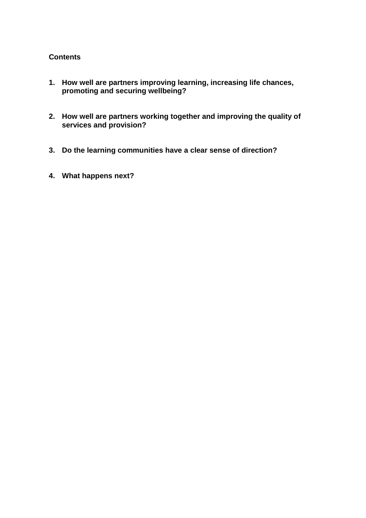## **Contents**

- **1. How well are partners improving learning, increasing life chances, promoting and securing wellbeing?**
- **2. How well are partners working together and improving the quality of services and provision?**
- **3. Do the learning communities have a clear sense of direction?**
- **4. What happens next?**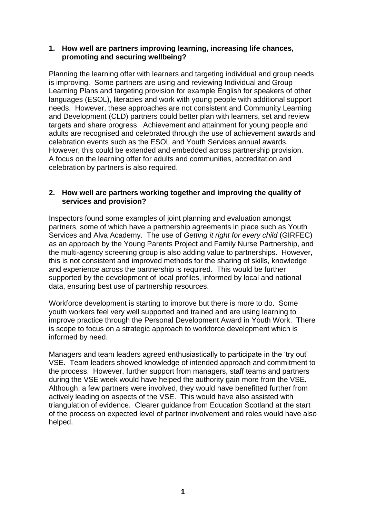### **1. How well are partners improving learning, increasing life chances, promoting and securing wellbeing?**

Planning the learning offer with learners and targeting individual and group needs is improving. Some partners are using and reviewing Individual and Group Learning Plans and targeting provision for example English for speakers of other languages (ESOL), literacies and work with young people with additional support needs. However, these approaches are not consistent and Community Learning and Development (CLD) partners could better plan with learners, set and review targets and share progress. Achievement and attainment for young people and adults are recognised and celebrated through the use of achievement awards and celebration events such as the ESOL and Youth Services annual awards. However, this could be extended and embedded across partnership provision. A focus on the learning offer for adults and communities, accreditation and celebration by partners is also required.

#### **2. How well are partners working together and improving the quality of services and provision?**

Inspectors found some examples of joint planning and evaluation amongst partners, some of which have a partnership agreements in place such as Youth Services and Alva Academy. The use of *Getting it right for every child* (GIRFEC) as an approach by the Young Parents Project and Family Nurse Partnership, and the multi-agency screening group is also adding value to partnerships. However, this is not consistent and improved methods for the sharing of skills, knowledge and experience across the partnership is required. This would be further supported by the development of local profiles, informed by local and national data, ensuring best use of partnership resources.

Workforce development is starting to improve but there is more to do. Some youth workers feel very well supported and trained and are using learning to improve practice through the Personal Development Award in Youth Work. There is scope to focus on a strategic approach to workforce development which is informed by need.

Managers and team leaders agreed enthusiastically to participate in the 'try out' VSE. Team leaders showed knowledge of intended approach and commitment to the process. However, further support from managers, staff teams and partners during the VSE week would have helped the authority gain more from the VSE. Although, a few partners were involved, they would have benefitted further from actively leading on aspects of the VSE. This would have also assisted with triangulation of evidence. Clearer guidance from Education Scotland at the start of the process on expected level of partner involvement and roles would have also helped.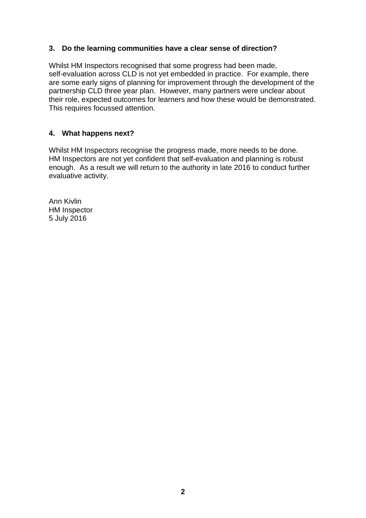# **3. Do the learning communities have a clear sense of direction?**

Whilst HM Inspectors recognised that some progress had been made, self-evaluation across CLD is not yet embedded in practice. For example, there are some early signs of planning for improvement through the development of the partnership CLD three year plan. However, many partners were unclear about their role, expected outcomes for learners and how these would be demonstrated. This requires focussed attention.

# **4. What happens next?**

Whilst HM Inspectors recognise the progress made, more needs to be done. HM Inspectors are not yet confident that self-evaluation and planning is robust enough. As a result we will return to the authority in late 2016 to conduct further evaluative activity.

Ann Kivlin HM Inspector 5 July 2016